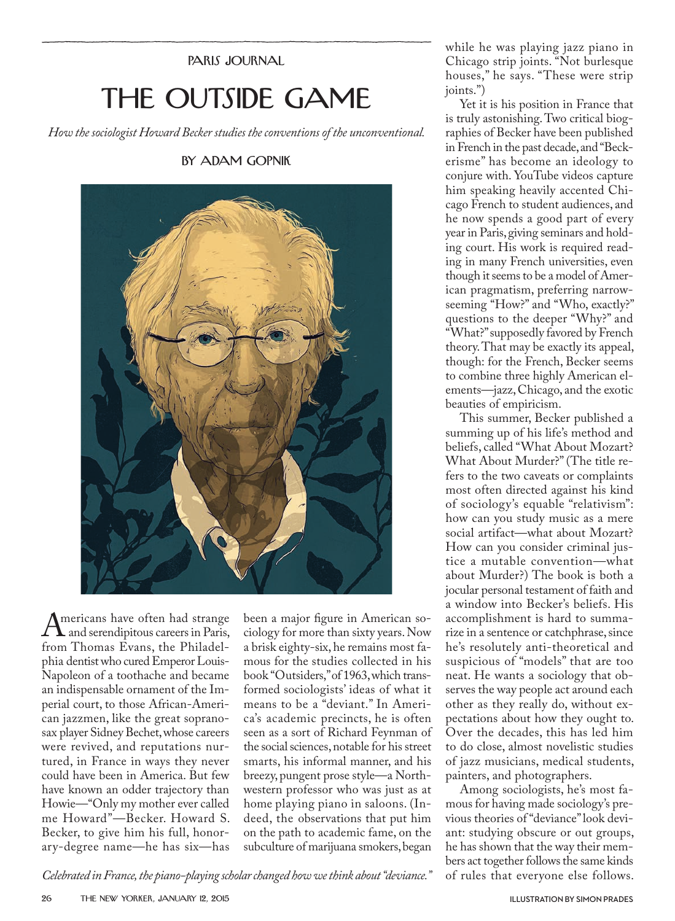PARIS JOURNAL

## THE OUTSIDE GAME

*How the sociologist Howard Becker studies the conventions of the unconventional.*

BY ADAM GOPNIK



Americans have often had strange<br>and serendipitous careers in Paris,<br>from Thomas Evans, the Philadelfrom Thomas Evans, the Philadelphia dentist who cured Emperor Louis-Napoleon of a toothache and became an indispensable ornament of the Imperial court, to those African-American jazzmen, like the great sopranosax player Sidney Bechet, whose careers were revived, and reputations nurtured, in France in ways they never could have been in America. But few have known an odder trajectory than Howie—"Only my mother ever called me Howard"—Becker. Howard S. Becker, to give him his full, honorary-degree name—he has six—has

been a major figure in American sociology for more than sixty years. Now a brisk eighty-six, he remains most famous for the studies collected in his book "Outsiders," of 1963, which transformed sociologists' ideas of what it means to be a "deviant." In America's academic precincts, he is often seen as a sort of Richard Feynman of the social sciences, notable for his street smarts, his informal manner, and his breezy, pungent prose style—a Northwestern professor who was just as at home playing piano in saloons. (Indeed, the observations that put him on the path to academic fame, on the subculture of marijuana smokers, began

while he was playing jazz piano in Chicago strip joints. "Not burlesque houses," he says. "These were strip joints.")

Yet it is his position in France that is truly astonishing. Two critical biographies of Becker have been published in French in the past decade, and "Beckerisme" has become an ideology to conjure with. YouTube videos capture him speaking heavily accented Chicago French to student audiences, and he now spends a good part of every year in Paris, giving seminars and holding court. His work is required reading in many French universities, even though it seems to be a model of American pragmatism, preferring narrowseeming "How?" and "Who, exactly?" questions to the deeper "Why?" and "What?" supposedly favored by French theory. That may be exactly its appeal, though: for the French, Becker seems to combine three highly American elements—jazz, Chicago, and the exotic beauties of empiricism.

This summer, Becker published a summing up of his life's method and beliefs, called "What About Mozart? What About Murder?" (The title refers to the two caveats or complaints most often directed against his kind of sociology's equable "relativism": how can you study music as a mere social artifact—what about Mozart? How can you consider criminal justice a mutable convention—what about Murder?) The book is both a jocular personal testament of faith and a window into Becker's beliefs. His accomplishment is hard to summarize in a sentence or catchphrase, since he's resolutely anti-theoretical and suspicious of "models" that are too neat. He wants a sociology that observes the way people act around each other as they really do, without expectations about how they ought to. Over the decades, this has led him to do close, almost novelistic studies of jazz musicians, medical students, painters, and photographers.

Among sociologists, he's most famous for having made sociology's previous theories of "deviance" look deviant: studying obscure or out groups, he has shown that the way their members act together follows the same kinds of rules that everyone else follows.

*Celebrated in France, the piano-playing scholar changed how we think about "deviance."*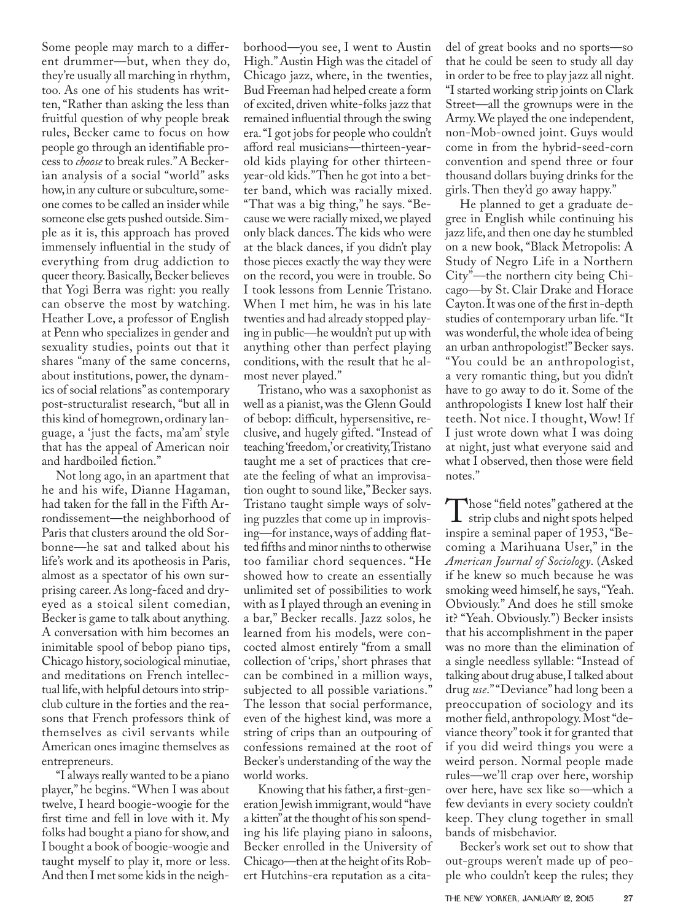Some people may march to a different drummer—but, when they do, they're usually all marching in rhythm, too. As one of his students has written, "Rather than asking the less than fruitful question of why people break rules, Becker came to focus on how people go through an identifiable process to *choose* to break rules." A Beckerian analysis of a social "world" asks how, in any culture or subculture, someone comes to be called an insider while someone else gets pushed outside. Simple as it is, this approach has proved immensely influential in the study of everything from drug addiction to queer theory. Basically, Becker believes that Yogi Berra was right: you really can observe the most by watching. Heather Love, a professor of English at Penn who specializes in gender and sexuality studies, points out that it shares "many of the same concerns, about institutions, power, the dynamics of social relations" as contemporary post-structuralist research, "but all in this kind of homegrown, ordinary language, a 'just the facts, ma'am' style that has the appeal of American noir and hardboiled fiction."

Not long ago, in an apartment that he and his wife, Dianne Hagaman, had taken for the fall in the Fifth Arrondissement—the neighborhood of Paris that clusters around the old Sorbonne—he sat and talked about his life's work and its apotheosis in Paris, almost as a spectator of his own surprising career. As long-faced and dryeyed as a stoical silent comedian, Becker is game to talk about anything. A conversation with him becomes an inimitable spool of bebop piano tips, Chicago history, sociological minutiae, and meditations on French intellectual life, with helpful detours into stripclub culture in the forties and the reasons that French professors think of themselves as civil servants while American ones imagine themselves as entrepreneurs.

"I always really wanted to be a piano player," he begins. "When I was about twelve, I heard boogie-woogie for the first time and fell in love with it. My folks had bought a piano for show, and I bought a book of boogie-woogie and taught myself to play it, more or less. And then I met some kids in the neighborhood—you see, I went to Austin High." Austin High was the citadel of Chicago jazz, where, in the twenties, Bud Freeman had helped create a form of excited, driven white-folks jazz that remained influential through the swing era. "I got jobs for people who couldn't afford real musicians—thirteen-yearold kids playing for other thirteenyear-old kids." Then he got into a better band, which was racially mixed. "That was a big thing," he says. "Because we were racially mixed, we played only black dances. The kids who were at the black dances, if you didn't play those pieces exactly the way they were on the record, you were in trouble. So I took lessons from Lennie Tristano. When I met him, he was in his late twenties and had already stopped playing in public—he wouldn't put up with anything other than perfect playing conditions, with the result that he almost never played."

Tristano, who was a saxophonist as well as a pianist, was the Glenn Gould of bebop: difficult, hypersensitive, reclusive, and hugely gifted. "Instead of teaching 'freedom,' or creativity, Tristano taught me a set of practices that create the feeling of what an improvisation ought to sound like," Becker says. Tristano taught simple ways of solving puzzles that come up in improvising—for instance, ways of adding flatted fifths and minor ninths to otherwise too familiar chord sequences. "He showed how to create an essentially unlimited set of possibilities to work with as I played through an evening in a bar," Becker recalls. Jazz solos, he learned from his models, were concocted almost entirely "from a small collection of 'crips,' short phrases that can be combined in a million ways, subjected to all possible variations." The lesson that social performance, even of the highest kind, was more a string of crips than an outpouring of confessions remained at the root of Becker's understanding of the way the world works.

Knowing that his father, a first-generation Jewish immigrant, would "have a kitten" at the thought of his son spending his life playing piano in saloons, Becker enrolled in the University of Chicago—then at the height of its Robert Hutchins-era reputation as a citadel of great books and no sports—so that he could be seen to study all day in order to be free to play jazz all night. "I started working strip joints on Clark Street—all the grownups were in the Army. We played the one independent, non-Mob-owned joint. Guys would come in from the hybrid-seed-corn convention and spend three or four thousand dollars buying drinks for the girls. Then they'd go away happy."

He planned to get a graduate degree in English while continuing his jazz life, and then one day he stumbled on a new book, "Black Metropolis: A Study of Negro Life in a Northern City"—the northern city being Chicago—by St. Clair Drake and Horace Cayton. It was one of the first in-depth studies of contemporary urban life. "It was wonderful, the whole idea of being an urban anthropologist!" Becker says. "You could be an anthropologist, a very romantic thing, but you didn't have to go away to do it. Some of the anthropologists I knew lost half their teeth. Not nice. I thought, Wow! If I just wrote down what I was doing at night, just what everyone said and what I observed, then those were field notes."

Those "field notes" gathered at the<br>strip clubs and night spots helped<br>inspire a seminal paper of 1953 "Beinspire a seminal paper of 1953, "Becoming a Marihuana User," in the *American Journal of Sociology*. (Asked if he knew so much because he was smoking weed himself, he says, "Yeah. Obviously." And does he still smoke it? "Yeah. Obviously.") Becker insists that his accomplishment in the paper was no more than the elimination of a single needless syllable: "Instead of talking about drug abuse, I talked about drug *use*." "Deviance" had long been a preoccupation of sociology and its mother field, anthropology. Most "deviance theory" took it for granted that if you did weird things you were a weird person. Normal people made rules—we'll crap over here, worship over here, have sex like so—which a few deviants in every society couldn't keep. They clung together in small bands of misbehavior.

Becker's work set out to show that out-groups weren't made up of people who couldn't keep the rules; they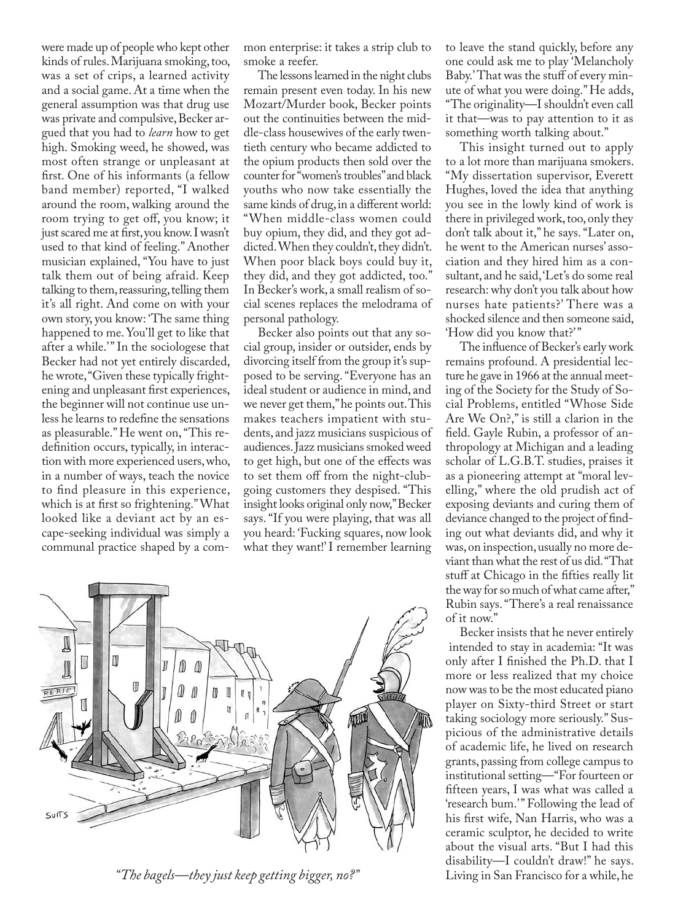were made up of people who kept other kinds of rules. Marijuana smoking, too, was a set of crips, a learned activity and a social game. At a time when the general assumption was that drug use was private and compulsive, Becker argued that you had to *learn* how to get high. Smoking weed, he showed, was most often strange or unpleasant at first. One of his informants (a fellow band member) reported, "I walked around the room, walking around the room trying to get off, you know; it just scared me at first, you know. I wasn't used to that kind of feeling." Another musician explained, "You have to just talk them out of being afraid. Keep talking to them, reassuring, telling them it's all right. And come on with your own story, you know: 'The same thing happened to me. You'll get to like that after a while." In the sociologese that Becker had not yet entirely discarded, he wrote, "Given these typically frightening and unpleasant first experiences, the beginner will not continue use unless he learns to redefine the sensations as pleasurable." He went on, "This redefinition occurs, typically, in interaction with more experienced users, who, in a number of ways, teach the novice to find pleasure in this experience, which is at first so frightening." What looked like a deviant act by an escape-seeking individual was simply a communal practice shaped by a common enterprise: it takes a strip club to smoke a reefer.

The lessons learned in the night clubs remain present even today. In his new Mozart/Murder book, Becker points out the continuities between the middle-class housewives of the early twentieth century who became addicted to the opium products then sold over the counter for "women's troubles" and black youths who now take essentially the same kinds of drug, in a different world: "When middle-class women could buy opium, they did, and they got addicted. When they couldn't, they didn't. When poor black boys could buy it, they did, and they got addicted, too." In Becker's work, a small realism of social scenes replaces the melodrama of personal pathology.

Becker also points out that any social group, insider or outsider, ends by divorcing itself from the group it's supposed to be serving. "Everyone has an ideal student or audience in mind, and we never get them," he points out. This makes teachers impatient with students, and jazz musicians suspicious of audiences. Jazz musicians smoked weed to get high, but one of the effects was to set them off from the night-clubgoing customers they despised. "This insight looks original only now," Becker says. "If you were playing, that was all you heard: 'Fucking squares, now look what they want!' I remember learning



*"The bagels—they just keep getting bigger, no?"*

to leave the stand quickly, before any one could ask me to play 'Melancholy Baby.' That was the stuff of every minute of what you were doing." He adds, "The originality—I shouldn't even call it that—was to pay attention to it as something worth talking about."

This insight turned out to apply to a lot more than marijuana smokers. "My dissertation supervisor, Everett Hughes, loved the idea that anything you see in the lowly kind of work is there in privileged work, too, only they don't talk about it," he says. "Later on, he went to the American nurses' association and they hired him as a consultant, and he said, 'Let's do some real research: why don't you talk about how nurses hate patients?' There was a shocked silence and then someone said, 'How did you know that?' "

The influence of Becker's early work remains profound. A presidential lecture he gave in 1966 at the annual meeting of the Society for the Study of Social Problems, entitled "Whose Side Are We On?," is still a clarion in the field. Gayle Rubin, a professor of anthropology at Michigan and a leading scholar of L.G.B.T. studies, praises it as a pioneering attempt at "moral levelling," where the old prudish act of exposing deviants and curing them of deviance changed to the project of finding out what deviants did, and why it was, on inspection, usually no more deviant than what the rest of us did. "That stuff at Chicago in the fifties really lit the way for so much of what came after," Rubin says. "There's a real renaissance of it now."

Becker insists that he never entirely intended to stay in academia: "It was only after I finished the Ph.D. that I more or less realized that my choice now was to be the most educated piano player on Sixty-third Street or start taking sociology more seriously." Suspicious of the administrative details of academic life, he lived on research grants, passing from college campus to institutional setting—"For fourteen or fifteen years, I was what was called a 'research bum.'" Following the lead of his first wife, Nan Harris, who was a ceramic sculptor, he decided to write about the visual arts. "But I had this disability—I couldn't draw!" he says. Living in San Francisco for a while, he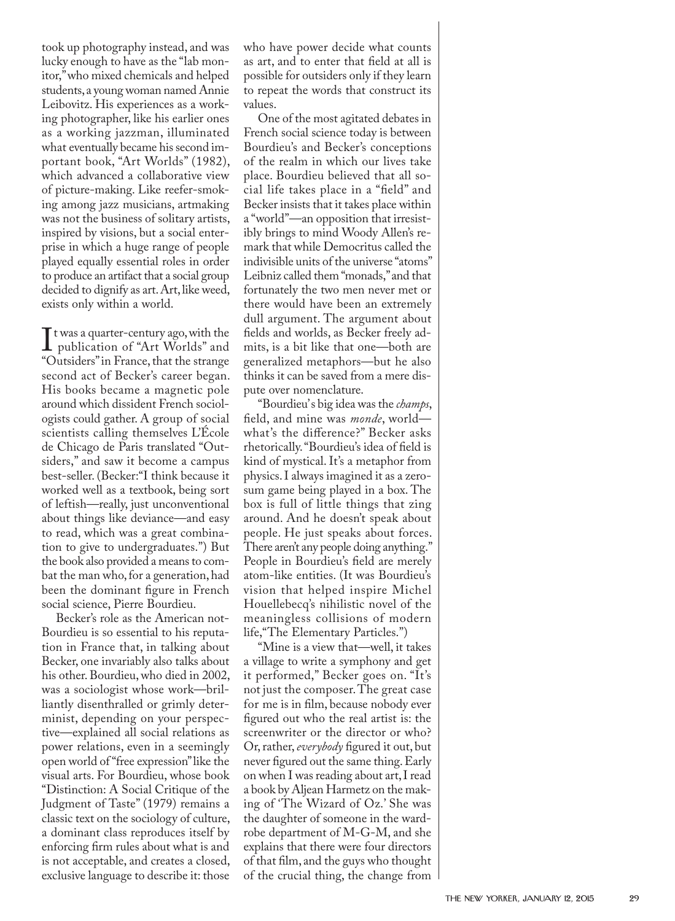took up photography instead, and was lucky enough to have as the "lab monitor," who mixed chemicals and helped students, a young woman named Annie Leibovitz. His experiences as a working photographer, like his earlier ones as a working jazzman, illuminated what eventually became his second important book, "Art Worlds" (1982), which advanced a collaborative view of picture-making. Like reefer-smoking among jazz musicians, artmaking was not the business of solitary artists, inspired by visions, but a social enterprise in which a huge range of people played equally essential roles in order to produce an artifact that a social group decided to dignify as art. Art, like weed, exists only within a world.

It was a quarter-century ago, with the<br>Inpublication of "Art Worlds" and<br>"Outsiders" in France, that the strance publication of "Art Worlds" and "Outsiders" in France, that the strange second act of Becker's career began. His books became a magnetic pole around which dissident French sociologists could gather. A group of social scientists calling themselves L'École de Chicago de Paris translated "Outsiders," and saw it become a campus best-seller. (Becker:"I think because it worked well as a textbook, being sort of leftish—really, just unconventional about things like deviance—and easy to read, which was a great combination to give to undergraduates.") But the book also provided a means to combat the man who, for a generation, had been the dominant figure in French social science, Pierre Bourdieu.

Becker's role as the American not-Bourdieu is so essential to his reputation in France that, in talking about Becker, one invariably also talks about his other. Bourdieu, who died in 2002, was a sociologist whose work—brilliantly disenthralled or grimly determinist, depending on your perspective—explained all social relations as power relations, even in a seemingly open world of "free expression" like the visual arts. For Bourdieu, whose book "Distinction: A Social Critique of the Judgment of Taste" (1979) remains a classic text on the sociology of culture, a dominant class reproduces itself by enforcing firm rules about what is and is not acceptable, and creates a closed, exclusive language to describe it: those

who have power decide what counts as art, and to enter that field at all is possible for outsiders only if they learn to repeat the words that construct its values.

One of the most agitated debates in French social science today is between Bourdieu's and Becker's conceptions of the realm in which our lives take place. Bourdieu believed that all social life takes place in a "field" and Becker insists that it takes place within a "world"—an opposition that irresistibly brings to mind Woody Allen's remark that while Democritus called the indivisible units of the universe "atoms" Leibniz called them "monads," and that fortunately the two men never met or there would have been an extremely dull argument. The argument about fields and worlds, as Becker freely admits, is a bit like that one—both are generalized metaphors—but he also thinks it can be saved from a mere dispute over nomenclature.

"Bourdieu' s big idea was the *champs*, field, and mine was *monde*, world what's the difference?" Becker asks rhetorically. "Bourdieu's idea of field is kind of mystical. It's a metaphor from physics. I always imagined it as a zerosum game being played in a box. The box is full of little things that zing around. And he doesn't speak about people. He just speaks about forces. There aren't any people doing anything." People in Bourdieu's field are merely atom-like entities. (It was Bourdieu's vision that helped inspire Michel Houellebecq's nihilistic novel of the meaningless collisions of modern life,"The Elementary Particles.")

"Mine is a view that—well, it takes a village to write a symphony and get it performed," Becker goes on. "It's not just the composer. The great case for me is in film, because nobody ever figured out who the real artist is: the screenwriter or the director or who? Or, rather, *everybody* figured it out, but never figured out the same thing. Early on when I was reading about art, I read a book by Aljean Harmetz on the making of 'The Wizard of Oz.' She was the daughter of someone in the wardrobe department of M-G-M, and she explains that there were four directors of that film, and the guys who thought of the crucial thing, the change from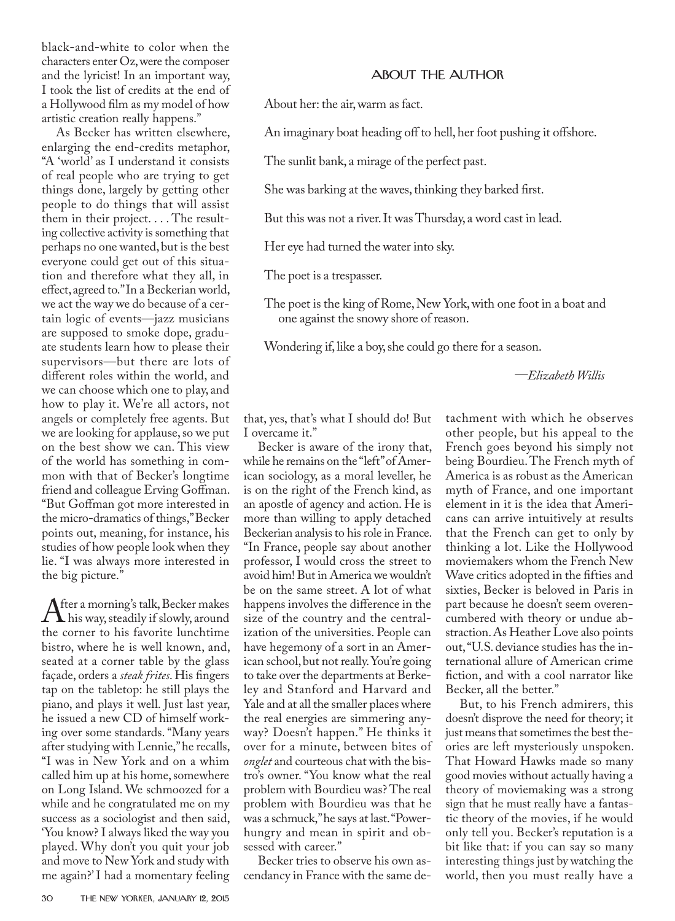black-and-white to color when the characters enter Oz, were the composer and the lyricist! In an important way, I took the list of credits at the end of a Hollywood film as my model of how artistic creation really happens."

As Becker has written elsewhere, enlarging the end-credits metaphor, "A 'world' as I understand it consists of real people who are trying to get things done, largely by getting other people to do things that will assist them in their project. . . . The resulting collective activity is something that perhaps no one wanted, but is the best everyone could get out of this situation and therefore what they all, in effect, agreed to." In a Beckerian world, we act the way we do because of a certain logic of events—jazz musicians are supposed to smoke dope, graduate students learn how to please their supervisors—but there are lots of different roles within the world, and we can choose which one to play, and how to play it. We're all actors, not angels or completely free agents. But we are looking for applause, so we put on the best show we can. This view of the world has something in common with that of Becker's longtime friend and colleague Erving Goffman. "But Goffman got more interested in the micro-dramatics of things," Becker points out, meaning, for instance, his studies of how people look when they lie. "I was always more interested in the big picture."

After a morning's talk, Becker makes<br>the sorner to his favorite lunchtime the corner to his favorite lunchtime bistro, where he is well known, and, seated at a corner table by the glass façade, orders a *steak frites*. His fingers tap on the tabletop: he still plays the piano, and plays it well. Just last year, he issued a new CD of himself working over some standards. "Many years after studying with Lennie," he recalls, "I was in New York and on a whim called him up at his home, somewhere on Long Island. We schmoozed for a while and he congratulated me on my success as a sociologist and then said, 'You know? I always liked the way you played. Why don't you quit your job and move to New York and study with me again?' I had a momentary feeling

## ABOUT THE AUTHOR

About her: the air, warm as fact.

An imaginary boat heading off to hell, her foot pushing it offshore.

The sunlit bank, a mirage of the perfect past.

She was barking at the waves, thinking they barked first.

But this was not a river. It was Thursday, a word cast in lead.

Her eye had turned the water into sky.

The poet is a trespasser.

The poet is the king of Rome, New York, with one foot in a boat and one against the snowy shore of reason.

Wondering if, like a boy, she could go there for a season.

*—Elizabeth Willis*

that, yes, that's what I should do! But I overcame it."

Becker is aware of the irony that, while he remains on the "left" of American sociology, as a moral leveller, he is on the right of the French kind, as an apostle of agency and action. He is more than willing to apply detached Beckerian analysis to his role in France. "In France, people say about another professor, I would cross the street to avoid him! But in America we wouldn't be on the same street. A lot of what happens involves the difference in the size of the country and the centralization of the universities. People can have hegemony of a sort in an American school, but not really. You're going to take over the departments at Berkeley and Stanford and Harvard and Yale and at all the smaller places where the real energies are simmering anyway? Doesn't happen." He thinks it over for a minute, between bites of *onglet* and courteous chat with the bistro's owner. "You know what the real problem with Bourdieu was? The real problem with Bourdieu was that he was a schmuck," he says at last. "Powerhungry and mean in spirit and obsessed with career."

Becker tries to observe his own ascendancy in France with the same detachment with which he observes other people, but his appeal to the French goes beyond his simply not being Bourdieu. The French myth of America is as robust as the American myth of France, and one important element in it is the idea that Americans can arrive intuitively at results that the French can get to only by thinking a lot. Like the Hollywood moviemakers whom the French New Wave critics adopted in the fifties and sixties, Becker is beloved in Paris in part because he doesn't seem overencumbered with theory or undue abstraction. As Heather Love also points out, "U.S. deviance studies has the international allure of American crime fiction, and with a cool narrator like Becker, all the better."

But, to his French admirers, this doesn't disprove the need for theory; it just means that sometimes the best theories are left mysteriously unspoken. That Howard Hawks made so many good movies without actually having a theory of moviemaking was a strong sign that he must really have a fantastic theory of the movies, if he would only tell you. Becker's reputation is a bit like that: if you can say so many interesting things just by watching the world, then you must really have a